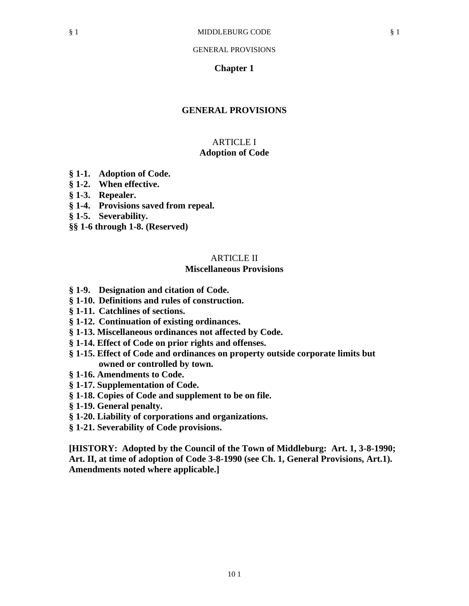### **Chapter 1**

## **GENERAL PROVISIONS**

## ARTICLE I **Adoption of Code**

- **§ 1-1. Adoption of Code.**
- **§ 1-2. When effective.**
- **§ 1-3. Repealer.**
- **§ 1-4. Provisions saved from repeal.**
- **§ 1-5. Severability.**
- **§§ 1-6 through 1-8. (Reserved)**

# ARTICLE II

## **Miscellaneous Provisions**

- **§ 1-9. Designation and citation of Code.**
- **§ 1-10. Definitions and rules of construction.**
- **§ 1-11. Catchlines of sections.**
- **§ 1-12. Continuation of existing ordinances.**
- **§ 1-13. Miscellaneous ordinances not affected by Code.**
- **§ 1-14. Effect of Code on prior rights and offenses.**
- **§ 1-15. Effect of Code and ordinances on property outside corporate limits but owned or controlled by town.**
- **§ 1-16. Amendments to Code.**
- **§ 1-17. Supplementation of Code.**
- **§ 1-18. Copies of Code and supplement to be on file.**
- **§ 1-19. General penalty.**
- **§ 1-20. Liability of corporations and organizations.**
- **§ 1-21. Severability of Code provisions.**

**[HISTORY: Adopted by the Council of the Town of Middleburg: Art. 1, 3-8-1990; Art. II, at time of adoption of Code 3-8-1990 (see Ch. 1, General Provisions, Art.1). Amendments noted where applicable.]**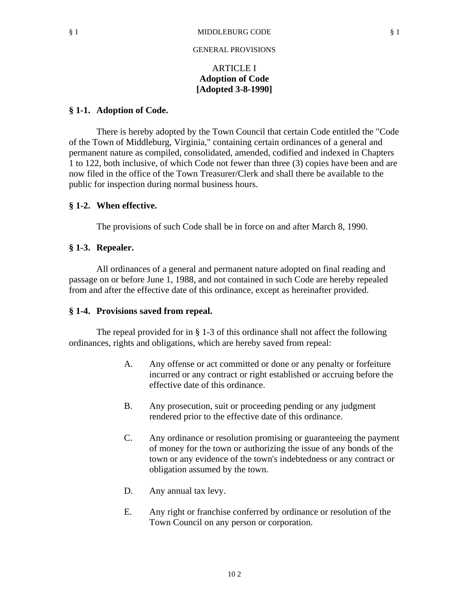# ARTICLE I **Adoption of Code [Adopted 3-8-1990]**

## **§ 1-1. Adoption of Code.**

There is hereby adopted by the Town Council that certain Code entitled the "Code of the Town of Middleburg, Virginia," containing certain ordinances of a general and permanent nature as compiled, consolidated, amended, codified and indexed in Chapters 1 to 122, both inclusive, of which Code not fewer than three (3) copies have been and are now filed in the office of the Town Treasurer/Clerk and shall there be available to the public for inspection during normal business hours.

## **§ 1-2. When effective.**

The provisions of such Code shall be in force on and after March 8, 1990.

## **§ 1-3. Repealer.**

All ordinances of a general and permanent nature adopted on final reading and passage on or before June 1, 1988, and not contained in such Code are hereby repealed from and after the effective date of this ordinance, except as hereinafter provided.

### **§ 1-4. Provisions saved from repeal.**

The repeal provided for in § 1-3 of this ordinance shall not affect the following ordinances, rights and obligations, which are hereby saved from repeal:

- A. Any offense or act committed or done or any penalty or forfeiture incurred or any contract or right established or accruing before the effective date of this ordinance.
- B. Any prosecution, suit or proceeding pending or any judgment rendered prior to the effective date of this ordinance.
- C. Any ordinance or resolution promising or guaranteeing the payment of money for the town or authorizing the issue of any bonds of the town or any evidence of the town's indebtedness or any contract or obligation assumed by the town.
- D. Any annual tax levy.
- E. Any right or franchise conferred by ordinance or resolution of the Town Council on any person or corporation.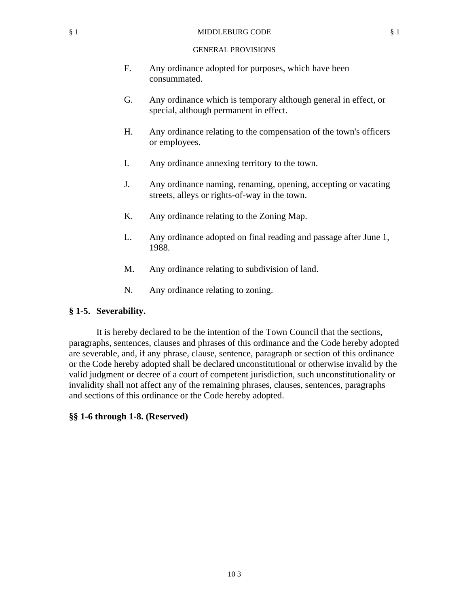- F. Any ordinance adopted for purposes, which have been consummated.
- G. Any ordinance which is temporary although general in effect, or special, although permanent in effect.
- H. Any ordinance relating to the compensation of the town's officers or employees.
- I. Any ordinance annexing territory to the town.
- J. Any ordinance naming, renaming, opening, accepting or vacating streets, alleys or rights-of-way in the town.
- K. Any ordinance relating to the Zoning Map.
- L. Any ordinance adopted on final reading and passage after June 1, 1988.
- M. Any ordinance relating to subdivision of land.
- N. Any ordinance relating to zoning.

## **§ 1-5. Severability.**

It is hereby declared to be the intention of the Town Council that the sections, paragraphs, sentences, clauses and phrases of this ordinance and the Code hereby adopted are severable, and, if any phrase, clause, sentence, paragraph or section of this ordinance or the Code hereby adopted shall be declared unconstitutional or otherwise invalid by the valid judgment or decree of a court of competent jurisdiction, such unconstitutionality or invalidity shall not affect any of the remaining phrases, clauses, sentences, paragraphs and sections of this ordinance or the Code hereby adopted.

## **§§ 1-6 through 1-8. (Reserved)**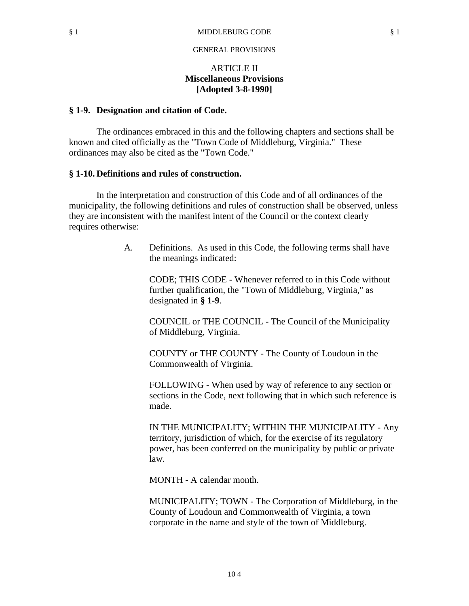# ARTICLE II **Miscellaneous Provisions [Adopted 3-8-1990]**

### **§ 1-9. Designation and citation of Code.**

The ordinances embraced in this and the following chapters and sections shall be known and cited officially as the "Town Code of Middleburg, Virginia." These ordinances may also be cited as the "Town Code."

### **§ 1-10. Definitions and rules of construction.**

In the interpretation and construction of this Code and of all ordinances of the municipality, the following definitions and rules of construction shall be observed, unless they are inconsistent with the manifest intent of the Council or the context clearly requires otherwise:

> A. Definitions. As used in this Code, the following terms shall have the meanings indicated:

CODE; THIS CODE - Whenever referred to in this Code without further qualification, the "Town of Middleburg, Virginia," as designated in **§ 1-9**.

COUNCIL or THE COUNCIL - The Council of the Municipality of Middleburg, Virginia.

COUNTY or THE COUNTY - The County of Loudoun in the Commonwealth of Virginia.

FOLLOWING - When used by way of reference to any section or sections in the Code, next following that in which such reference is made.

IN THE MUNICIPALITY; WITHIN THE MUNICIPALITY - Any territory, jurisdiction of which, for the exercise of its regulatory power, has been conferred on the municipality by public or private law.

MONTH - A calendar month.

MUNICIPALITY; TOWN - The Corporation of Middleburg, in the County of Loudoun and Commonwealth of Virginia, a town corporate in the name and style of the town of Middleburg.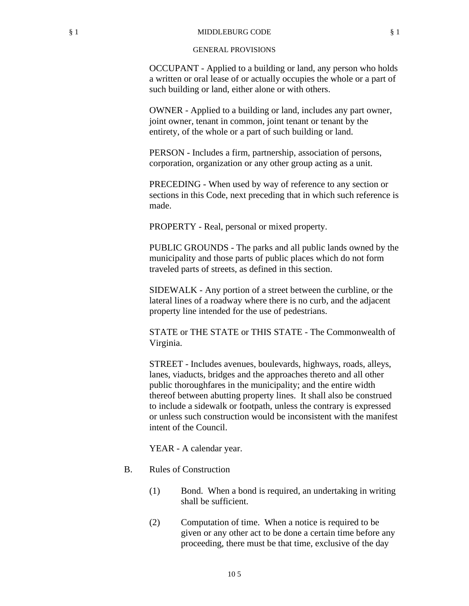OCCUPANT - Applied to a building or land, any person who holds a written or oral lease of or actually occupies the whole or a part of such building or land, either alone or with others.

OWNER - Applied to a building or land, includes any part owner, joint owner, tenant in common, joint tenant or tenant by the entirety, of the whole or a part of such building or land.

PERSON - Includes a firm, partnership, association of persons, corporation, organization or any other group acting as a unit.

PRECEDING - When used by way of reference to any section or sections in this Code, next preceding that in which such reference is made.

PROPERTY - Real, personal or mixed property.

PUBLIC GROUNDS - The parks and all public lands owned by the municipality and those parts of public places which do not form traveled parts of streets, as defined in this section.

SIDEWALK - Any portion of a street between the curbline, or the lateral lines of a roadway where there is no curb, and the adjacent property line intended for the use of pedestrians.

STATE or THE STATE or THIS STATE - The Commonwealth of Virginia.

STREET - Includes avenues, boulevards, highways, roads, alleys, lanes, viaducts, bridges and the approaches thereto and all other public thoroughfares in the municipality; and the entire width thereof between abutting property lines. It shall also be construed to include a sidewalk or footpath, unless the contrary is expressed or unless such construction would be inconsistent with the manifest intent of the Council.

YEAR - A calendar year.

- B. Rules of Construction
	- (1) Bond. When a bond is required, an undertaking in writing shall be sufficient.
	- (2) Computation of time. When a notice is required to be given or any other act to be done a certain time before any proceeding, there must be that time, exclusive of the day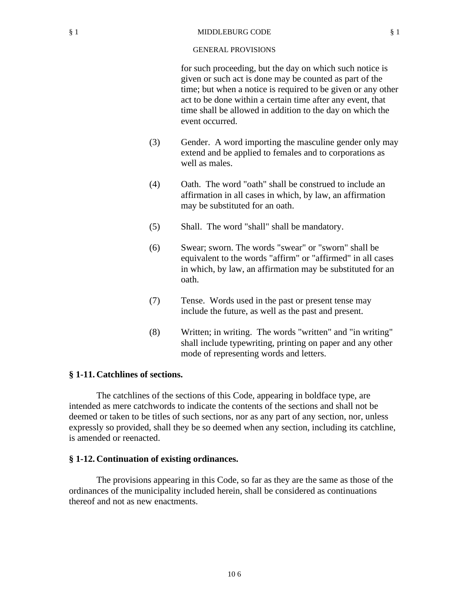#### § 1 MIDDLEBURG CODE § 1

### GENERAL PROVISIONS

for such proceeding, but the day on which such notice is given or such act is done may be counted as part of the time; but when a notice is required to be given or any other act to be done within a certain time after any event, that time shall be allowed in addition to the day on which the event occurred.

- (3) Gender. A word importing the masculine gender only may extend and be applied to females and to corporations as well as males.
- (4) Oath. The word "oath" shall be construed to include an affirmation in all cases in which, by law, an affirmation may be substituted for an oath.
- (5) Shall. The word "shall" shall be mandatory.
- (6) Swear; sworn. The words "swear" or "sworn" shall be equivalent to the words "affirm" or "affirmed" in all cases in which, by law, an affirmation may be substituted for an oath.
- (7) Tense. Words used in the past or present tense may include the future, as well as the past and present.
- (8) Written; in writing. The words "written" and "in writing" shall include typewriting, printing on paper and any other mode of representing words and letters.

## **§ 1-11. Catchlines of sections.**

The catchlines of the sections of this Code, appearing in boldface type, are intended as mere catchwords to indicate the contents of the sections and shall not be deemed or taken to be titles of such sections, nor as any part of any section, nor, unless expressly so provided, shall they be so deemed when any section, including its catchline, is amended or reenacted.

### **§ 1-12. Continuation of existing ordinances.**

The provisions appearing in this Code, so far as they are the same as those of the ordinances of the municipality included herein, shall be considered as continuations thereof and not as new enactments.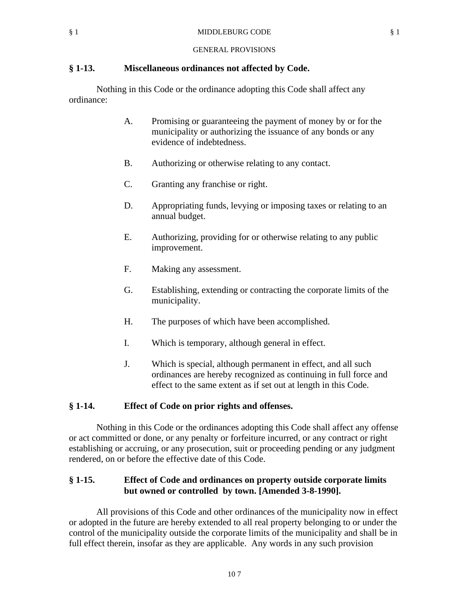## **§ 1-13. Miscellaneous ordinances not affected by Code.**

Nothing in this Code or the ordinance adopting this Code shall affect any ordinance:

- A. Promising or guaranteeing the payment of money by or for the municipality or authorizing the issuance of any bonds or any evidence of indebtedness.
- B. Authorizing or otherwise relating to any contact.
- C. Granting any franchise or right.
- D. Appropriating funds, levying or imposing taxes or relating to an annual budget.
- E. Authorizing, providing for or otherwise relating to any public improvement.
- F. Making any assessment.
- G. Establishing, extending or contracting the corporate limits of the municipality.
- H. The purposes of which have been accomplished.
- I. Which is temporary, although general in effect.
- J. Which is special, although permanent in effect, and all such ordinances are hereby recognized as continuing in full force and effect to the same extent as if set out at length in this Code.

## **§ 1-14. Effect of Code on prior rights and offenses.**

Nothing in this Code or the ordinances adopting this Code shall affect any offense or act committed or done, or any penalty or forfeiture incurred, or any contract or right establishing or accruing, or any prosecution, suit or proceeding pending or any judgment rendered, on or before the effective date of this Code.

# **§ 1-15. Effect of Code and ordinances on property outside corporate limits but owned or controlled by town. [Amended 3-8-1990].**

All provisions of this Code and other ordinances of the municipality now in effect or adopted in the future are hereby extended to all real property belonging to or under the control of the municipality outside the corporate limits of the municipality and shall be in full effect therein, insofar as they are applicable. Any words in any such provision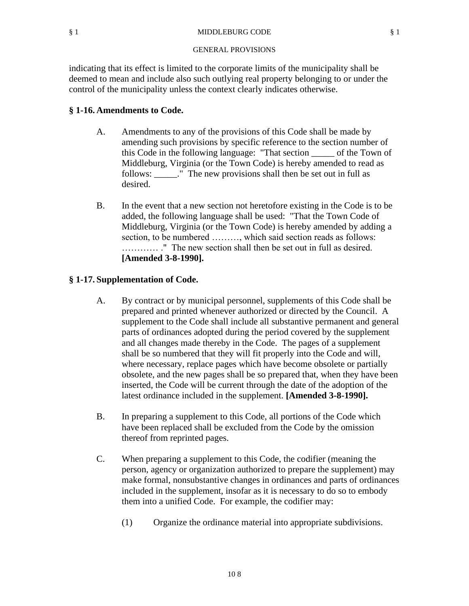indicating that its effect is limited to the corporate limits of the municipality shall be deemed to mean and include also such outlying real property belonging to or under the control of the municipality unless the context clearly indicates otherwise.

## **§ 1-16. Amendments to Code.**

- A. Amendments to any of the provisions of this Code shall be made by amending such provisions by specific reference to the section number of this Code in the following language: "That section \_\_\_\_\_ of the Town of Middleburg, Virginia (or the Town Code) is hereby amended to read as follows: \_\_\_\_\_." The new provisions shall then be set out in full as desired.
- B. In the event that a new section not heretofore existing in the Code is to be added, the following language shall be used: "That the Town Code of Middleburg, Virginia (or the Town Code) is hereby amended by adding a section, to be numbered ………, which said section reads as follows: ………… ." The new section shall then be set out in full as desired. **[Amended 3-8-1990].**

## **§ 1-17. Supplementation of Code.**

- A. By contract or by municipal personnel, supplements of this Code shall be prepared and printed whenever authorized or directed by the Council. A supplement to the Code shall include all substantive permanent and general parts of ordinances adopted during the period covered by the supplement and all changes made thereby in the Code. The pages of a supplement shall be so numbered that they will fit properly into the Code and will, where necessary, replace pages which have become obsolete or partially obsolete, and the new pages shall be so prepared that, when they have been inserted, the Code will be current through the date of the adoption of the latest ordinance included in the supplement. **[Amended 3-8-1990].**
- B. In preparing a supplement to this Code, all portions of the Code which have been replaced shall be excluded from the Code by the omission thereof from reprinted pages.
- C. When preparing a supplement to this Code, the codifier (meaning the person, agency or organization authorized to prepare the supplement) may make formal, nonsubstantive changes in ordinances and parts of ordinances included in the supplement, insofar as it is necessary to do so to embody them into a unified Code. For example, the codifier may:
	- (1) Organize the ordinance material into appropriate subdivisions.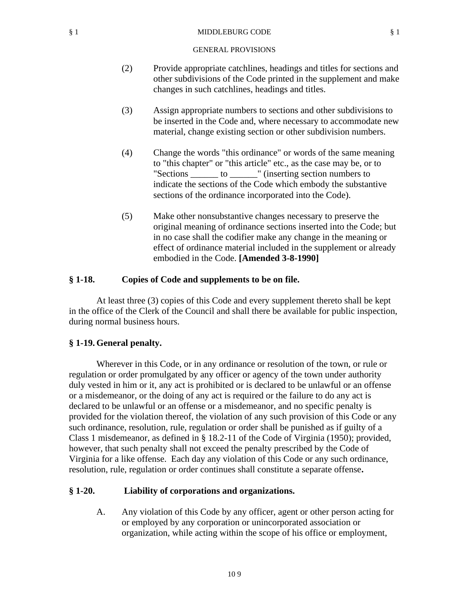#### § 1 MIDDLEBURG CODE § 1

#### GENERAL PROVISIONS

- (2) Provide appropriate catchlines, headings and titles for sections and other subdivisions of the Code printed in the supplement and make changes in such catchlines, headings and titles.
- (3) Assign appropriate numbers to sections and other subdivisions to be inserted in the Code and, where necessary to accommodate new material, change existing section or other subdivision numbers.
- (4) Change the words "this ordinance" or words of the same meaning to "this chapter" or "this article" etc., as the case may be, or to "Sections \_\_\_\_\_\_ to \_\_\_\_\_\_" (inserting section numbers to indicate the sections of the Code which embody the substantive sections of the ordinance incorporated into the Code).
- (5) Make other nonsubstantive changes necessary to preserve the original meaning of ordinance sections inserted into the Code; but in no case shall the codifier make any change in the meaning or effect of ordinance material included in the supplement or already embodied in the Code. **[Amended 3-8-1990]**

## **§ 1-18. Copies of Code and supplements to be on file.**

At least three (3) copies of this Code and every supplement thereto shall be kept in the office of the Clerk of the Council and shall there be available for public inspection, during normal business hours.

### **§ 1-19. General penalty.**

Wherever in this Code, or in any ordinance or resolution of the town, or rule or regulation or order promulgated by any officer or agency of the town under authority duly vested in him or it, any act is prohibited or is declared to be unlawful or an offense or a misdemeanor, or the doing of any act is required or the failure to do any act is declared to be unlawful or an offense or a misdemeanor, and no specific penalty is provided for the violation thereof, the violation of any such provision of this Code or any such ordinance, resolution, rule, regulation or order shall be punished as if guilty of a Class 1 misdemeanor, as defined in § 18.2-11 of the Code of Virginia (1950); provided, however, that such penalty shall not exceed the penalty prescribed by the Code of Virginia for a like offense. Each day any violation of this Code or any such ordinance, resolution, rule, regulation or order continues shall constitute a separate offense**.**

## **§ 1-20. Liability of corporations and organizations.**

A. Any violation of this Code by any officer, agent or other person acting for or employed by any corporation or unincorporated association or organization, while acting within the scope of his office or employment,